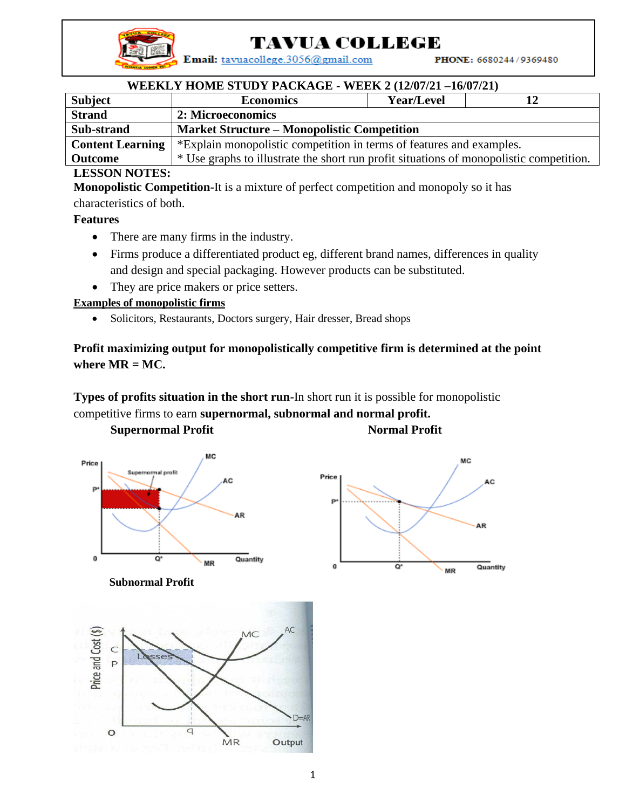

# **TAVUA COLLEGE**

Email: tavuacollege.3056@gmail.com

PHONE: 6680244/9369480

## **WEEKLY HOME STUDY PACKAGE - WEEK 2 (12/07/21 –16/07/21)**

| <b>Subject</b>          | <b>Economics</b>                                                                        | <b>Year/Level</b> | 12 |  |  |
|-------------------------|-----------------------------------------------------------------------------------------|-------------------|----|--|--|
| <b>Strand</b>           | 2: Microeconomics                                                                       |                   |    |  |  |
| Sub-strand              | <b>Market Structure – Monopolistic Competition</b>                                      |                   |    |  |  |
| <b>Content Learning</b> | *Explain monopolistic competition in terms of features and examples.                    |                   |    |  |  |
| <b>Outcome</b>          | * Use graphs to illustrate the short run profit situations of monopolistic competition. |                   |    |  |  |

#### **LESSON NOTES:**

**Monopolistic Competition-**It is a mixture of perfect competition and monopoly so it has

characteristics of both.

#### **Features**

- There are many firms in the industry.
- Firms produce a differentiated product eg, different brand names, differences in quality and design and special packaging. However products can be substituted.
- They are price makers or price setters.

#### **Examples of monopolistic firms**

• Solicitors, Restaurants, Doctors surgery, Hair dresser, Bread shops

# **Profit maximizing output for monopolistically competitive firm is determined at the point where MR = MC.**

**Types of profits situation in the short run-**In short run it is possible for monopolistic competitive firms to earn **supernormal, subnormal and normal profit.**

**Supernormal Profit Normal Profit**